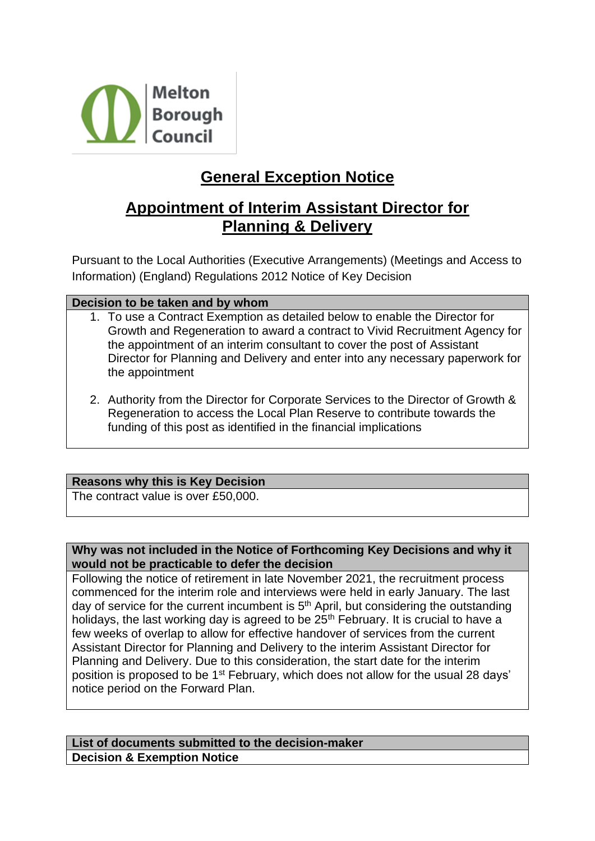

# **General Exception Notice**

## **Appointment of Interim Assistant Director for Planning & Delivery**

Pursuant to the Local Authorities (Executive Arrangements) (Meetings and Access to Information) (England) Regulations 2012 Notice of Key Decision

## **Decision to be taken and by whom**

- 1. To use a Contract Exemption as detailed below to enable the Director for Growth and Regeneration to award a contract to Vivid Recruitment Agency for the appointment of an interim consultant to cover the post of Assistant Director for Planning and Delivery and enter into any necessary paperwork for the appointment
- 2. Authority from the Director for Corporate Services to the Director of Growth & Regeneration to access the Local Plan Reserve to contribute towards the funding of this post as identified in the financial implications

## **Reasons why this is Key Decision**

The contract value is over £50,000.

### **Why was not included in the Notice of Forthcoming Key Decisions and why it would not be practicable to defer the decision**

Following the notice of retirement in late November 2021, the recruitment process commenced for the interim role and interviews were held in early January. The last day of service for the current incumbent is  $5<sup>th</sup>$  April, but considering the outstanding holidays, the last working day is agreed to be 25<sup>th</sup> February. It is crucial to have a few weeks of overlap to allow for effective handover of services from the current Assistant Director for Planning and Delivery to the interim Assistant Director for Planning and Delivery. Due to this consideration, the start date for the interim position is proposed to be 1st February, which does not allow for the usual 28 days' notice period on the Forward Plan.

#### **List of documents submitted to the decision-maker Decision & Exemption Notice**